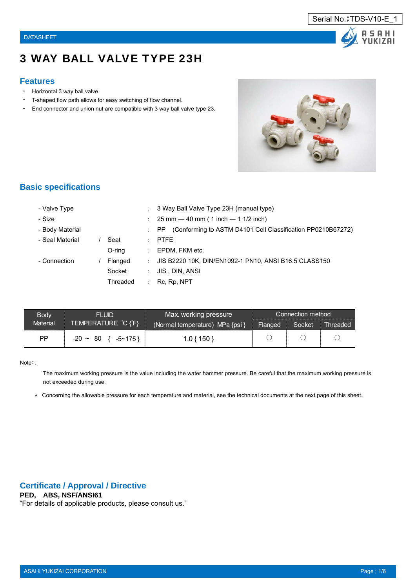

# 3 WAY BALL VALVE TYPE 23H

#### **Features**

- Horizontal 3 way ball valve.
- T-shaped flow path allows for easy switching of flow channel.
- End connector and union nut are compatible with 3 way ball valve type 23.



#### **Basic specifications**

| - Valve Type    |           | ÷                          | 3 Way Ball Valve Type 23H (manual type)                            |
|-----------------|-----------|----------------------------|--------------------------------------------------------------------|
| - Size          |           | ÷                          | $25 \text{ mm} - 40 \text{ mm}$ ( 1 inch $-$ 1 1/2 inch)           |
| - Body Material |           | $\mathcal{L}$              | (Conforming to ASTM D4101 Cell Classification PP0210B67272)<br>PP. |
| - Seal Material | Seat      | $\mathcal{L}$              | <b>PTFE</b>                                                        |
|                 | $O$ -ring | $\mathcal{L}^{\text{max}}$ | EPDM, FKM etc.                                                     |
| - Connection    | Flanged   | ÷                          | JIS B2220 10K, DIN/EN1092-1 PN10, ANSI B16.5 CLASS150              |
|                 | Socket    | t.                         | JIS, DIN, ANSI                                                     |
|                 | Threaded  | ÷                          | Rc, Rp, NPT                                                        |

| <b>Body</b>     | FI UID                           | Max. working pressure           | Connection method |        |                 |  |  |  |
|-----------------|----------------------------------|---------------------------------|-------------------|--------|-----------------|--|--|--|
| <b>Material</b> | TEMPERATURE °C {°F} <sup>1</sup> | (Normal temperature) MPa {psi } | Flanged           | Socket | <b>Threaded</b> |  |  |  |
| РP              | - 80<br>$-20$ ~<br>$-5$ ~ 175 }  | $.0\{150\}$                     |                   |        |                 |  |  |  |

#### Note::

The maximum working pressure is the value including the water hammer pressure. Be careful that the maximum working pressure is not exceeded during use.

\* Concerning the allowable pressure for each temperature and material, see the technical documents at the next page of this sheet.

#### **Certificate / Approval / Directive**

## **PED, ABS, NSF/ANSI61**

"For details of applicable products, please consult us."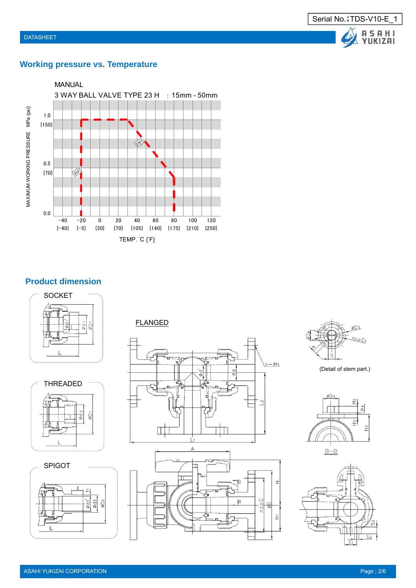

# **Working pressure vs. Temperature**



# **Product dimension**











(Detail of stem part.)



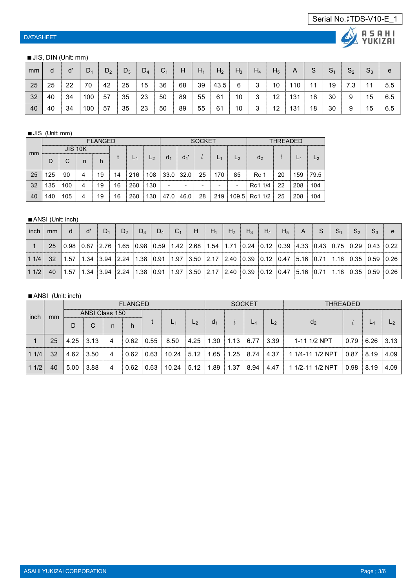# **ALASAHI**

#### ■ JIS, DIN (Unit: mm)

| mm |    | ď  | $D_1$ | $D_2$ | $D_3$ | $D_4$ | C <sub>1</sub> | H  | $H_1$ | H <sub>2</sub> | $H_3$ | $H_4$ | H <sub>5</sub> | A   | S  | S <sub>1</sub> | $S_2$ | $S_3$ | e   |
|----|----|----|-------|-------|-------|-------|----------------|----|-------|----------------|-------|-------|----------------|-----|----|----------------|-------|-------|-----|
| 25 | 25 | 22 | 70    | 42    | 25    | 15    | 36             | 68 | 39    | 43.5           | 6     | 3     | 10             | 110 | 11 | 19             |       | 11    | 5.5 |
| 32 | 40 | 34 | 100   | 57    | 35    | 23    | 50             | 89 | 55    | 61             | 10    | 3     | 12             | 131 | 18 | 30             | 9     | 15    | 6.5 |
| 40 | 40 | 34 | 100   | 57    | 35    | 23    | 50             | 89 | 55    | 61             | 10    | 3     | 12             | 131 | 18 | 30             | 9     | 15    | 6.5 |

#### ■JIS (Unit: mm)

|    |     | <b>FLANGED</b> |   |    |    |     |                |                |       | <b>SOCKET</b> |     |                          | <b>THRFADFD</b> |    |     |      |
|----|-----|----------------|---|----|----|-----|----------------|----------------|-------|---------------|-----|--------------------------|-----------------|----|-----|------|
| mm |     | <b>JIS 10K</b> |   |    |    |     |                |                |       |               |     |                          |                 |    |     |      |
|    | D   | C              | n | h  |    |     | L <sub>2</sub> | d <sub>1</sub> | $d_1$ |               |     | L <sub>2</sub>           | d <sub>2</sub>  |    |     |      |
| 25 | 125 | 90             | 4 | 19 | 14 | 216 | 108            | 33.0           | 32.0  | 25            | 170 | 85                       | Rc 1            | 20 | 159 | 79.5 |
| 32 | 135 | 100            | 4 | 19 | 16 | 260 | 130            | -              |       |               |     | $\overline{\phantom{a}}$ | Rc1 1/4         | 22 | 208 | 104  |
| 40 | 140 | 105            | 4 | 19 | 16 | 260 | 130            | 47.0           | 46.0  | 28            | 219 |                          | 109.5 Rc1 1/2   | 25 | 208 | 104  |

#### ■ ANSI (Unit: inch)

| inch | mm | - d | ď | $D_1$ | $D_2$ | $\mid D_3 \mid$ | $D_4 \mid C_1$ | $\left  \begin{array}{c} \end{array} \right $                                                                                                                                                                                                          | $H_1$ | $H_2$ | $H_3$ | $H_4$ | $\angle$ H <sub>5</sub> $\angle$ | A | S. | $\mathbf{S}_1$ | S <sub>2</sub> | $S_3$ |  |
|------|----|-----|---|-------|-------|-----------------|----------------|--------------------------------------------------------------------------------------------------------------------------------------------------------------------------------------------------------------------------------------------------------|-------|-------|-------|-------|----------------------------------|---|----|----------------|----------------|-------|--|
|      | 25 |     |   |       |       |                 |                | $\begin{bmatrix} 0.98 & 0.87 & 2.76 & 1.65 & 0.98 & 0.59 & 1.42 & 2.68 & 1.54 & 1.71 & 0.24 & 0.12 & 0.39 & 4.33 & 0.43 & 0.75 & 0.29 & 0.43 & 0.22 \end{bmatrix}$                                                                                     |       |       |       |       |                                  |   |    |                |                |       |  |
| 11/4 |    |     |   |       |       |                 |                | 32 1.57 1.34 3.94 2.24 1.38 0.91 1.97 3.50 2.17 2.40 0.39 0.12 0.47 5.16 0.71 1.18 0.35 0.59 0.26                                                                                                                                                      |       |       |       |       |                                  |   |    |                |                |       |  |
| 11/2 | 40 |     |   |       |       |                 |                | $\vert$ 1.57 $\vert$ 1.34 $\vert$ 3.94 $\vert$ 2.24 $\vert$ 1.38 $\vert$ 0.91 $\vert$ 1.97 $\vert$ 3.50 $\vert$ 2.17 $\vert$ 2.40 $\vert$ 0.39 $\vert$ 0.12 $\vert$ 0.47 $\vert$ 5.16 $\vert$ 0.71 $\vert$ 1.18 $\vert$ 0.35 $\vert$ 0.59 $\vert$ 0.26 |       |       |       |       |                                  |   |    |                |                |       |  |

#### ■ANSI (Unit: inch)

|      |    | <b>FLANGED</b> |                |    |      |      |       | <b>SOCKET</b>  |                |      |       | THRFADFD       |                  |      |                |       |
|------|----|----------------|----------------|----|------|------|-------|----------------|----------------|------|-------|----------------|------------------|------|----------------|-------|
| inch | mm |                | ANSI Class 150 |    |      |      | $L_1$ |                |                |      |       |                |                  |      |                |       |
|      |    | D              | C              | n. | h    |      |       | L <sub>2</sub> | d <sub>1</sub> |      | $L_1$ | L <sub>2</sub> | d <sub>2</sub>   |      | L <sub>1</sub> |       |
|      | 25 | 4.25           | 3.13           | 4  | 0.62 | 0.55 | 8.50  | 4.25           | .30            | 1.13 | 6.77  | 3.39           | 1-11 1/2 NPT     | 0.79 | 6.26           | 13.13 |
| 11/4 | 32 | 4.62           | 3.50           | 4  | 0.62 | 0.63 | 10.24 | 5.12           | .65            | 1.25 | 8.74  | 4.37           | 1 1/4-11 1/2 NPT | 0.87 | 8.19           | 4.09  |
| 11/2 | 40 | 5.00           | 3.88           | 4  | 0.62 | 0.63 | 10.24 | 5.12           | .89            | l.37 | 8.94  | 4.47           | 1 1/2-11 1/2 NPT | 0.98 | 8.19           | 4.09  |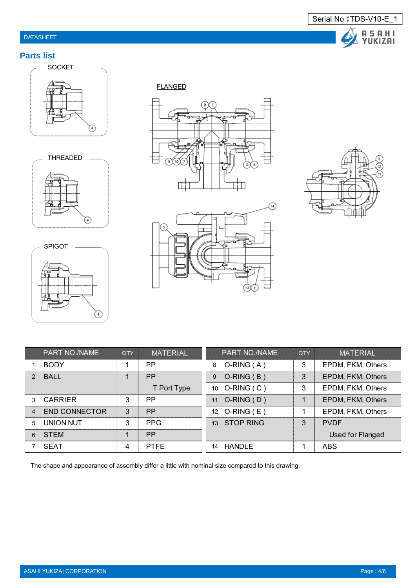# DATASHEET



# **Parts list**







FLANGED







|                | PART NO./NAME        | <b>QTY</b> | <b>MATERIAL</b> | PART NO./NAME     | QTY | <b>MATERIAL</b>   |
|----------------|----------------------|------------|-----------------|-------------------|-----|-------------------|
|                | <b>BODY</b>          |            | <b>PP</b>       | $O-RING(A)$<br>8  | 3   | EPDM, FKM, Others |
| $\mathcal{P}$  | <b>BALL</b>          |            | <b>PP</b>       | $O-RING(B)$<br>9  | 3   | EPDM, FKM, Others |
|                |                      |            | T Port Type     | 10 O-RING (C)     | 3   | EPDM, FKM, Others |
| 3              | <b>CARRIER</b>       | 3          | PP              | $O-RING(D)$<br>11 |     | EPDM, FKM, Others |
| $\overline{4}$ | <b>END CONNECTOR</b> | 3          | PP              | 12 O-RING (E)     |     | EPDM, FKM, Others |
| 5              | <b>UNION NUT</b>     | 3          | <b>PPG</b>      | 13 STOP RING      | 3   | <b>PVDF</b>       |
| 6              | <b>STEM</b>          |            | <b>PP</b>       |                   |     | Used for Flanged  |
|                | <b>SEAT</b>          | 4          | <b>PTFE</b>     | HANDLE<br>14      |     | <b>ABS</b>        |

The shape and appearance of assembly differ a little with nominal size compared to this drawing.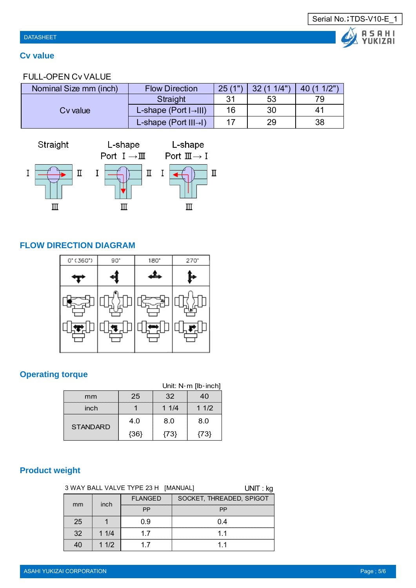# **Cv value**

# FULL-OPEN Cv VALUE

| Nominal Size mm (inch) | <b>Flow Direction</b>                           | 25(1") | (11/4")<br>$22^{\circ}$ | (11/2") |
|------------------------|-------------------------------------------------|--------|-------------------------|---------|
|                        | Straight                                        | 31     | 53                      | 79      |
| Cv value               | L-shape (Port $\left  \rightarrow \right $ III) | 16     | 30                      | 41      |
|                        | L-shape (Port $III\rightarrow$ )                |        | 29                      | 38      |



# **FLOW DIRECTION DIAGRAM**



# **Operating torque**

|                 |      |        | Unit: $N \cdot m$ [lb $\cdot$ inch] |
|-----------------|------|--------|-------------------------------------|
| mm              | 25   | 32     | 40                                  |
| inch            |      | 11/4   | 11/2                                |
| <b>STANDARD</b> | 4.0  | 8.0    | 8.0                                 |
|                 | {36} | ${73}$ | {73}                                |

# **Product weight**

|    | 3 WAY BALL VALVE TYPE 23 H [MANUAL]<br>$UNIT:$ kg |                |                          |  |  |  |  |  |  |
|----|---------------------------------------------------|----------------|--------------------------|--|--|--|--|--|--|
| mm | inch                                              | <b>FLANGED</b> | SOCKET, THREADED, SPIGOT |  |  |  |  |  |  |
|    |                                                   | <b>PP</b>      | <b>PP</b>                |  |  |  |  |  |  |
| 25 |                                                   | 0.9            | 0.4                      |  |  |  |  |  |  |
| 32 | 11/4                                              | 17             | 11                       |  |  |  |  |  |  |
| 40 | 11/2                                              | 17             | 11                       |  |  |  |  |  |  |